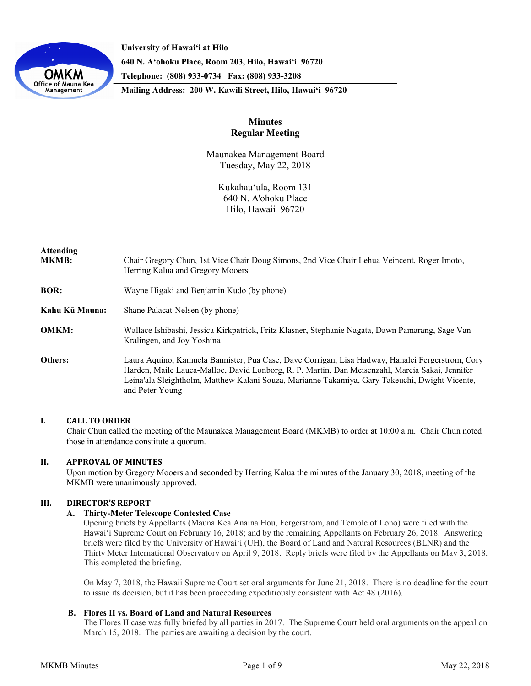

**University of Hawaiʻi at Hilo 640 N. A'ohoku Place, Room 203, Hilo, Hawai'i 96720 Telephone: (808) 933-0734 Fax: (808) 933-3208**

**Mailing Address: 200 W. Kawili Street, Hilo, Hawai'i 96720**

# **Minutes Regular Meeting**

Maunakea Management Board Tuesday, May 22, 2018

> Kukahauʻula, Room 131 640 N. A'ohoku Place Hilo, Hawaii 96720

| <b>Attending</b><br><b>MKMB:</b> | Chair Gregory Chun, 1st Vice Chair Doug Simons, 2nd Vice Chair Lehua Veincent, Roger Imoto,<br>Herring Kalua and Gregory Mooers                                                                                                                                                                                          |
|----------------------------------|--------------------------------------------------------------------------------------------------------------------------------------------------------------------------------------------------------------------------------------------------------------------------------------------------------------------------|
| <b>BOR:</b>                      | Wayne Higaki and Benjamin Kudo (by phone)                                                                                                                                                                                                                                                                                |
| Kahu Kū Mauna:                   | Shane Palacat-Nelsen (by phone)                                                                                                                                                                                                                                                                                          |
| <b>OMKM:</b>                     | Wallace Ishibashi, Jessica Kirkpatrick, Fritz Klasner, Stephanie Nagata, Dawn Pamarang, Sage Van<br>Kralingen, and Joy Yoshina                                                                                                                                                                                           |
| Others:                          | Laura Aquino, Kamuela Bannister, Pua Case, Dave Corrigan, Lisa Hadway, Hanalei Fergerstrom, Cory<br>Harden, Maile Lauea-Malloe, David Lonborg, R. P. Martin, Dan Meisenzahl, Marcia Sakai, Jennifer<br>Leina'ala Sleightholm, Matthew Kalani Souza, Marianne Takamiya, Gary Takeuchi, Dwight Vicente,<br>and Peter Young |

## **I. CALL TO ORDER**

Chair Chun called the meeting of the Maunakea Management Board (MKMB) to order at 10:00 a.m. Chair Chun noted those in attendance constitute a quorum.

## **II. APPROVAL OF MINUTES**

Upon motion by Gregory Mooers and seconded by Herring Kalua the minutes of the January 30, 2018, meeting of the MKMB were unanimously approved.

## **III. DIRECTOR'S REPORT**

## **A. Thirty-Meter Telescope Contested Case**

Opening briefs by Appellants (Mauna Kea Anaina Hou, Fergerstrom, and Temple of Lono) were filed with the Hawai'i Supreme Court on February 16, 2018; and by the remaining Appellants on February 26, 2018. Answering briefs were filed by the University of Hawaiʻi (UH), the Board of Land and Natural Resources (BLNR) and the Thirty Meter International Observatory on April 9, 2018. Reply briefs were filed by the Appellants on May 3, 2018. This completed the briefing.

On May 7, 2018, the Hawaii Supreme Court set oral arguments for June 21, 2018. There is no deadline for the court to issue its decision, but it has been proceeding expeditiously consistent with Act 48 (2016).

#### **B. Flores II vs. Board of Land and Natural Resources**

The Flores II case was fully briefed by all parties in 2017. The Supreme Court held oral arguments on the appeal on March 15, 2018. The parties are awaiting a decision by the court.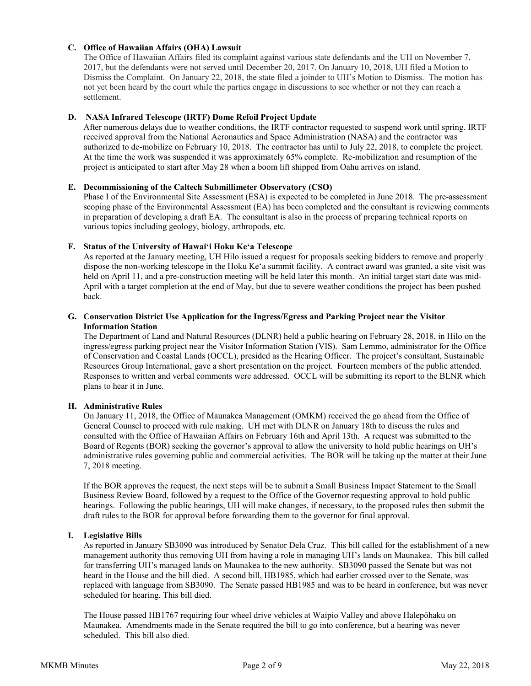## **C. Office of Hawaiian Affairs (OHA) Lawsuit**

The Office of Hawaiian Affairs filed its complaint against various state defendants and the UH on November 7, 2017, but the defendants were not served until December 20, 2017. On January 10, 2018, UH filed a Motion to Dismiss the Complaint. On January 22, 2018, the state filed a joinder to UH's Motion to Dismiss. The motion has not yet been heard by the court while the parties engage in discussions to see whether or not they can reach a settlement.

## **D. NASA Infrared Telescope (IRTF) Dome Refoil Project Update**

After numerous delays due to weather conditions, the IRTF contractor requested to suspend work until spring. IRTF received approval from the National Aeronautics and Space Administration (NASA) and the contractor was authorized to de-mobilize on February 10, 2018. The contractor has until to July 22, 2018, to complete the project. At the time the work was suspended it was approximately 65% complete. Re-mobilization and resumption of the project is anticipated to start after May 28 when a boom lift shipped from Oahu arrives on island.

### **E. Decommissioning of the Caltech Submillimeter Observatory (CSO)**

Phase I of the Environmental Site Assessment (ESA) is expected to be completed in June 2018. The pre-assessment scoping phase of the Environmental Assessment (EA) has been completed and the consultant is reviewing comments in preparation of developing a draft EA. The consultant is also in the process of preparing technical reports on various topics including geology, biology, arthropods, etc.

### **F. Status of the University of Hawaiʻi Hoku Keʻa Telescope**

As reported at the January meeting, UH Hilo issued a request for proposals seeking bidders to remove and properly dispose the non-working telescope in the Hoku Keʻa summit facility. A contract award was granted, a site visit was held on April 11, and a pre-construction meeting will be held later this month. An initial target start date was mid-April with a target completion at the end of May, but due to severe weather conditions the project has been pushed back.

## **G. Conservation District Use Application for the Ingress/Egress and Parking Project near the Visitor Information Station**

The Department of Land and Natural Resources (DLNR) held a public hearing on February 28, 2018, in Hilo on the ingress/egress parking project near the Visitor Information Station (VIS). Sam Lemmo, administrator for the Office of Conservation and Coastal Lands (OCCL), presided as the Hearing Officer. The project's consultant, Sustainable Resources Group International, gave a short presentation on the project. Fourteen members of the public attended. Responses to written and verbal comments were addressed. OCCL will be submitting its report to the BLNR which plans to hear it in June.

## **H. Administrative Rules**

On January 11, 2018, the Office of Maunakea Management (OMKM) received the go ahead from the Office of General Counsel to proceed with rule making. UH met with DLNR on January 18th to discuss the rules and consulted with the Office of Hawaiian Affairs on February 16th and April 13th. A request was submitted to the Board of Regents (BOR) seeking the governor's approval to allow the university to hold public hearings on UH's administrative rules governing public and commercial activities. The BOR will be taking up the matter at their June 7, 2018 meeting.

If the BOR approves the request, the next steps will be to submit a Small Business Impact Statement to the Small Business Review Board, followed by a request to the Office of the Governor requesting approval to hold public hearings. Following the public hearings, UH will make changes, if necessary, to the proposed rules then submit the draft rules to the BOR for approval before forwarding them to the governor for final approval.

## **I. Legislative Bills**

As reported in January SB3090 was introduced by Senator Dela Cruz. This bill called for the establishment of a new management authority thus removing UH from having a role in managing UH's lands on Maunakea. This bill called for transferring UH's managed lands on Maunakea to the new authority. SB3090 passed the Senate but was not heard in the House and the bill died. A second bill, HB1985, which had earlier crossed over to the Senate, was replaced with language from SB3090. The Senate passed HB1985 and was to be heard in conference, but was never scheduled for hearing. This bill died.

The House passed HB1767 requiring four wheel drive vehicles at Waipio Valley and above Halepōhaku on Maunakea. Amendments made in the Senate required the bill to go into conference, but a hearing was never scheduled. This bill also died.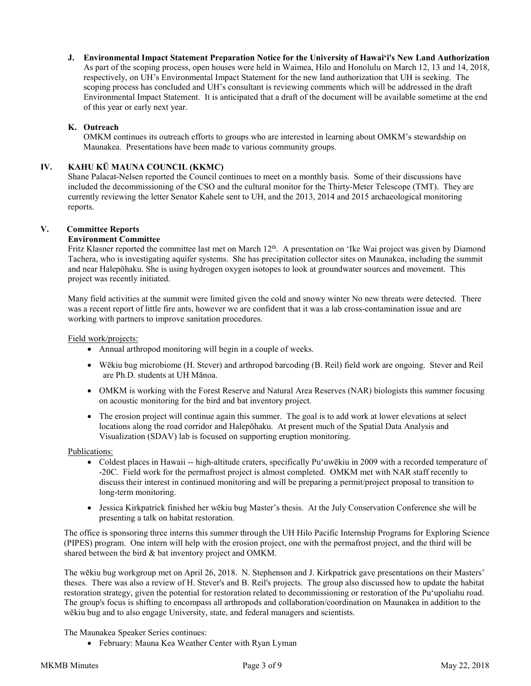**J. Environmental Impact Statement Preparation Notice for the University of Hawaiʻi's New Land Authorization** As part of the scoping process, open houses were held in Waimea, Hilo and Honolulu on March 12, 13 and 14, 2018, respectively, on UH's Environmental Impact Statement for the new land authorization that UH is seeking. The scoping process has concluded and UH's consultant is reviewing comments which will be addressed in the draft Environmental Impact Statement. It is anticipated that a draft of the document will be available sometime at the end of this year or early next year.

## **K. Outreach**

OMKM continues its outreach efforts to groups who are interested in learning about OMKM's stewardship on Maunakea. Presentations have been made to various community groups.

## **IV. KAHU KŪ MAUNA COUNCIL (KKMC)**

Shane Palacat-Nelsen reported the Council continues to meet on a monthly basis. Some of their discussions have included the decommissioning of the CSO and the cultural monitor for the Thirty-Meter Telescope (TMT). They are currently reviewing the letter Senator Kahele sent to UH, and the 2013, 2014 and 2015 archaeological monitoring reports.

## **V. Committee Reports**

### **Environment Committee**

Fritz Klasner reported the committee last met on March 12<sup>th</sup>. A presentation on 'Ike Wai project was given by Diamond Tachera, who is investigating aquifer systems. She has precipitation collector sites on Maunakea, including the summit and near Halepōhaku. She is using hydrogen oxygen isotopes to look at groundwater sources and movement. This project was recently initiated.

Many field activities at the summit were limited given the cold and snowy winter No new threats were detected. There was a recent report of little fire ants, however we are confident that it was a lab cross-contamination issue and are working with partners to improve sanitation procedures.

Field work/projects:

- Annual arthropod monitoring will begin in a couple of weeks.
- Wēkiu bug microbiome (H. Stever) and arthropod barcoding (B. Reil) field work are ongoing. Stever and Reil are Ph.D. students at UH Mānoa.
- OMKM is working with the Forest Reserve and Natural Area Reserves (NAR) biologists this summer focusing on acoustic monitoring for the bird and bat inventory project.
- The erosion project will continue again this summer. The goal is to add work at lower elevations at select locations along the road corridor and Halepōhaku. At present much of the Spatial Data Analysis and Visualization (SDAV) lab is focused on supporting eruption monitoring.

#### Publications:

- Coldest places in Hawaii -- high-altitude craters, specifically Puʻuwēkiu in 2009 with a recorded temperature of -20C. Field work for the permafrost project is almost completed. OMKM met with NAR staff recently to discuss their interest in continued monitoring and will be preparing a permit/project proposal to transition to long-term monitoring.
- Jessica Kirkpatrick finished her wēkiu bug Master's thesis. At the July Conservation Conference she will be presenting a talk on habitat restoration.

The office is sponsoring three interns this summer through the UH Hilo Pacific Internship Programs for Exploring Science (PIPES) program. One intern will help with the erosion project, one with the permafrost project, and the third will be shared between the bird & bat inventory project and OMKM.

The wēkiu bug workgroup met on April 26, 2018. N. Stephenson and J. Kirkpatrick gave presentations on their Masters' theses. There was also a review of H. Stever's and B. Reil's projects. The group also discussed how to update the habitat restoration strategy, given the potential for restoration related to decommissioning or restoration of the Puʻupoliahu road. The group's focus is shifting to encompass all arthropods and collaboration/coordination on Maunakea in addition to the wēkiu bug and to also engage University, state, and federal managers and scientists.

The Maunakea Speaker Series continues:

• February: Mauna Kea Weather Center with Ryan Lyman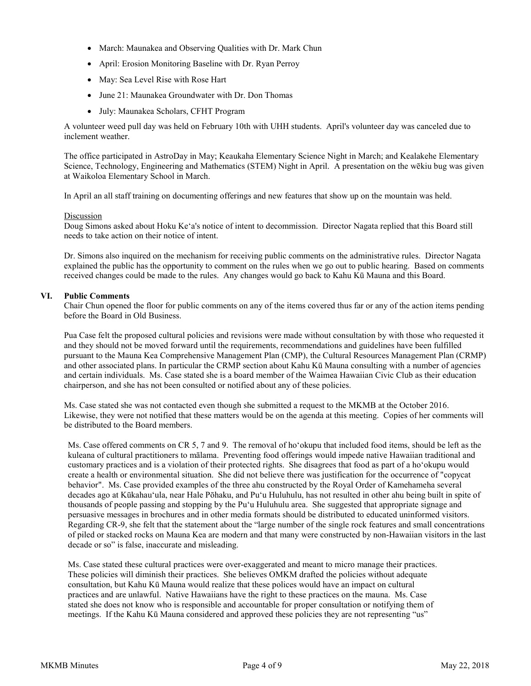- March: Maunakea and Observing Qualities with Dr. Mark Chun
- April: Erosion Monitoring Baseline with Dr. Ryan Perroy
- May: Sea Level Rise with Rose Hart
- June 21: Maunakea Groundwater with Dr. Don Thomas
- July: Maunakea Scholars, CFHT Program

A volunteer weed pull day was held on February 10th with UHH students. April's volunteer day was canceled due to inclement weather.

The office participated in AstroDay in May; Keaukaha Elementary Science Night in March; and Kealakehe Elementary Science, Technology, Engineering and Mathematics (STEM) Night in April. A presentation on the wēkiu bug was given at Waikoloa Elementary School in March.

In April an all staff training on documenting offerings and new features that show up on the mountain was held.

### Discussion

Doug Simons asked about Hoku Keʻa's notice of intent to decommission. Director Nagata replied that this Board still needs to take action on their notice of intent.

Dr. Simons also inquired on the mechanism for receiving public comments on the administrative rules. Director Nagata explained the public has the opportunity to comment on the rules when we go out to public hearing. Based on comments received changes could be made to the rules. Any changes would go back to Kahu Kū Mauna and this Board.

### **VI. Public Comments**

Chair Chun opened the floor for public comments on any of the items covered thus far or any of the action items pending before the Board in Old Business.

Pua Case felt the proposed cultural policies and revisions were made without consultation by with those who requested it and they should not be moved forward until the requirements, recommendations and guidelines have been fulfilled pursuant to the Mauna Kea Comprehensive Management Plan (CMP), the Cultural Resources Management Plan (CRMP) and other associated plans. In particular the CRMP section about Kahu Kū Mauna consulting with a number of agencies and certain individuals. Ms. Case stated she is a board member of the Waimea Hawaiian Civic Club as their education chairperson, and she has not been consulted or notified about any of these policies.

Ms. Case stated she was not contacted even though she submitted a request to the MKMB at the October 2016. Likewise, they were not notified that these matters would be on the agenda at this meeting. Copies of her comments will be distributed to the Board members.

Ms. Case offered comments on CR 5, 7 and 9. The removal of hoʻokupu that included food items, should be left as the kuleana of cultural practitioners to mālama. Preventing food offerings would impede native Hawaiian traditional and customary practices and is a violation of their protected rights. She disagrees that food as part of a hoʻokupu would create a health or environmental situation. She did not believe there was justification for the occurrence of "copycat behavior". Ms. Case provided examples of the three ahu constructed by the Royal Order of Kamehameha several decades ago at Kūkahauʻula, near Hale Pōhaku, and Puʻu Huluhulu, has not resulted in other ahu being built in spite of thousands of people passing and stopping by the Pu'u Huluhulu area. She suggested that appropriate signage and persuasive messages in brochures and in other media formats should be distributed to educated uninformed visitors. Regarding CR-9, she felt that the statement about the "large number of the single rock features and small concentrations of piled or stacked rocks on Mauna Kea are modern and that many were constructed by non-Hawaiian visitors in the last decade or so" is false, inaccurate and misleading.

Ms. Case stated these cultural practices were over-exaggerated and meant to micro manage their practices. These policies will diminish their practices. She believes OMKM drafted the policies without adequate consultation, but Kahu Kū Mauna would realize that these polices would have an impact on cultural practices and are unlawful. Native Hawaiians have the right to these practices on the mauna. Ms. Case stated she does not know who is responsible and accountable for proper consultation or notifying them of meetings. If the Kahu Kū Mauna considered and approved these policies they are not representing "us"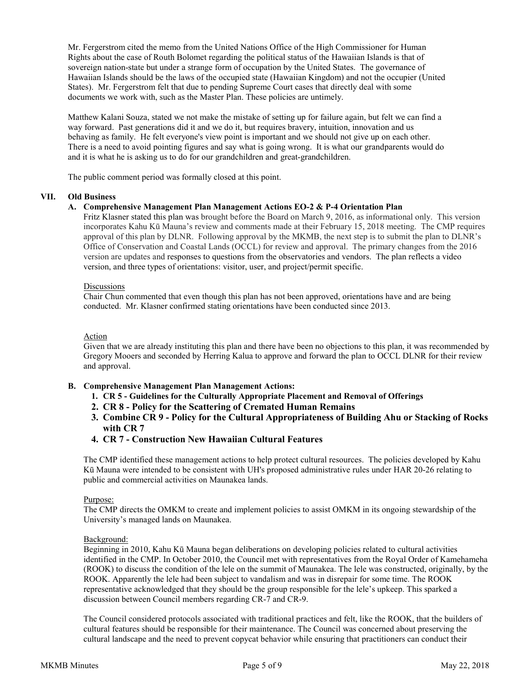Mr. Fergerstrom cited the memo from the United Nations Office of the High Commissioner for Human Rights about the case of Routh Bolomet regarding the political status of the Hawaiian Islands is that of sovereign nation-state but under a strange form of occupation by the United States. The governance of Hawaiian Islands should be the laws of the occupied state (Hawaiian Kingdom) and not the occupier (United States). Mr. Fergerstrom felt that due to pending Supreme Court cases that directly deal with some documents we work with, such as the Master Plan. These policies are untimely.

Matthew Kalani Souza, stated we not make the mistake of setting up for failure again, but felt we can find a way forward. Past generations did it and we do it, but requires bravery, intuition, innovation and us behaving as family. He felt everyone's view point is important and we should not give up on each other. There is a need to avoid pointing figures and say what is going wrong. It is what our grandparents would do and it is what he is asking us to do for our grandchildren and great-grandchildren.

The public comment period was formally closed at this point.

### **VII. Old Business**

### **A. Comprehensive Management Plan Management Actions EO-2 & P-4 Orientation Plan**

Fritz Klasner stated this plan was brought before the Board on March 9, 2016, as informational only. This version incorporates Kahu Kū Mauna's review and comments made at their February 15, 2018 meeting. The CMP requires approval of this plan by DLNR. Following approval by the MKMB, the next step is to submit the plan to DLNR's Office of Conservation and Coastal Lands (OCCL) for review and approval. The primary changes from the 2016 version are updates and responses to questions from the observatories and vendors. The plan reflects a video version, and three types of orientations: visitor, user, and project/permit specific.

### **Discussions**

Chair Chun commented that even though this plan has not been approved, orientations have and are being conducted. Mr. Klasner confirmed stating orientations have been conducted since 2013.

## Action

Given that we are already instituting this plan and there have been no objections to this plan, it was recommended by Gregory Mooers and seconded by Herring Kalua to approve and forward the plan to OCCL DLNR for their review and approval.

- **B. Comprehensive Management Plan Management Actions:**
	- **1. CR 5 - Guidelines for the Culturally Appropriate Placement and Removal of Offerings**
	- **2. CR 8 - Policy for the Scattering of Cremated Human Remains**
	- **3. Combine CR 9 - Policy for the Cultural Appropriateness of Building Ahu or Stacking of Rocks with CR 7**
	- **4. CR 7 - Construction New Hawaiian Cultural Features**

The CMP identified these management actions to help protect cultural resources. The policies developed by Kahu Kū Mauna were intended to be consistent with UH's proposed administrative rules under HAR 20-26 relating to public and commercial activities on Maunakea lands.

#### Purpose:

The CMP directs the OMKM to create and implement policies to assist OMKM in its ongoing stewardship of the University's managed lands on Maunakea.

#### Background:

Beginning in 2010, Kahu Kū Mauna began deliberations on developing policies related to cultural activities identified in the CMP. In October 2010, the Council met with representatives from the Royal Order of Kamehameha (ROOK) to discuss the condition of the lele on the summit of Maunakea. The lele was constructed, originally, by the ROOK. Apparently the lele had been subject to vandalism and was in disrepair for some time. The ROOK representative acknowledged that they should be the group responsible for the lele's upkeep. This sparked a discussion between Council members regarding CR-7 and CR-9.

The Council considered protocols associated with traditional practices and felt, like the ROOK, that the builders of cultural features should be responsible for their maintenance. The Council was concerned about preserving the cultural landscape and the need to prevent copycat behavior while ensuring that practitioners can conduct their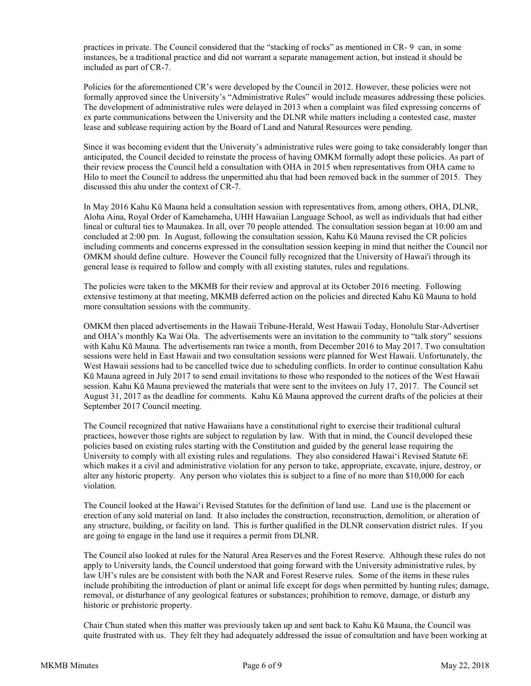practices in private. The Council considered that the "stacking of rocks" as mentioned in CR- 9 can, in some instances, be a traditional practice and did not warrant a separate management action, but instead it should be included as part of CR-7.

Policies for the aforementioned CR's were developed by the Council in 2012. However, these policies were not formally approved since the University's "Administrative Rules" would include measures addressing these policies. The development of administrative rules were delayed in 2013 when a complaint was filed expressing concerns of ex parte communications between the University and the DLNR while matters including a contested case, master lease and sublease requiring action by the Board of Land and Natural Resources were pending.

Since it was becoming evident that the University's administrative rules were going to take considerably longer than anticipated, the Council decided to reinstate the process of having OMKM formally adopt these policies. As part of their review process the Council held a consultation with OHA in 2015 when representatives from OHA came to Hilo to meet the Council to address the unpermitted ahu that had been removed back in the summer of 2015. They discussed this ahu under the context of CR-7.

In May 2016 Kahu Kū Mauna held a consultation session with representatives from, among others, OHA, DLNR, Aloha Aina, Royal Order of Kamehameha, UHH Hawaiian Language School, as well as individuals that had either lineal or cultural ties to Maunakea. In all, over 70 people attended. The consultation session began at 10:00 am and concluded at 2:00 pm. In August, following the consultation session, Kahu Kū Mauna revised the CR policies including comments and concerns expressed in the consultation session keeping in mind that neither the Council nor OMKM should define culture. However the Council fully recognized that the University of Hawai'i through its general lease is required to follow and comply with all existing statutes, rules and regulations.

The policies were taken to the MKMB for their review and approval at its October 2016 meeting. Following extensive testimony at that meeting, MKMB deferred action on the policies and directed Kahu Kū Mauna to hold more consultation sessions with the community.

OMKM then placed advertisements in the Hawaii Tribune-Herald, West Hawaii Today, Honolulu Star-Advertiser and OHA's monthly Ka Wai Ola. The advertisements were an invitation to the community to "talk story" sessions with Kahu Kū Mauna. The advertisements ran twice a month, from December 2016 to May 2017. Two consultation sessions were held in East Hawaii and two consultation sessions were planned for West Hawaii. Unfortunately, the West Hawaii sessions had to be cancelled twice due to scheduling conflicts. In order to continue consultation Kahu Kū Mauna agreed in July 2017 to send email invitations to those who responded to the notices of the West Hawaii session. Kahu Kū Mauna previewed the materials that were sent to the invitees on July 17, 2017. The Council set August 31, 2017 as the deadline for comments. Kahu Kū Mauna approved the current drafts of the policies at their September 2017 Council meeting.

The Council recognized that native Hawaiians have a constitutional right to exercise their traditional cultural practices, however those rights are subject to regulation by law. With that in mind, the Council developed these policies based on existing rules starting with the Constitution and guided by the general lease requiring the University to comply with all existing rules and regulations. They also considered Hawaiʻi Revised Statute 6E which makes it a civil and administrative violation for any person to take, appropriate, excavate, injure, destroy, or alter any historic property. Any person who violates this is subject to a fine of no more than \$10,000 for each violation.

The Council looked at the Hawaiʻi Revised Statutes for the definition of land use. Land use is the placement or erection of any sold material on land. It also includes the construction, reconstruction, demolition, or alteration of any structure, building, or facility on land.This is further qualified in the DLNR conservation district rules. If you are going to engage in the land use it requires a permit from DLNR.

The Council also looked at rules for the Natural Area Reserves and the Forest Reserve. Although these rules do not apply to University lands, the Council understood that going forward with the University administrative rules, by law UH's rules are be consistent with both the NAR and Forest Reserve rules. Some of the items in these rules include prohibiting the introduction of plant or animal life except for dogs when permitted by hunting rules; damage, removal, or disturbance of any geological features or substances; prohibition to remove, damage, or disturb any historic or prehistoric property.

Chair Chun stated when this matter was previously taken up and sent back to Kahu Kū Mauna, the Council was quite frustrated with us. They felt they had adequately addressed the issue of consultation and have been working at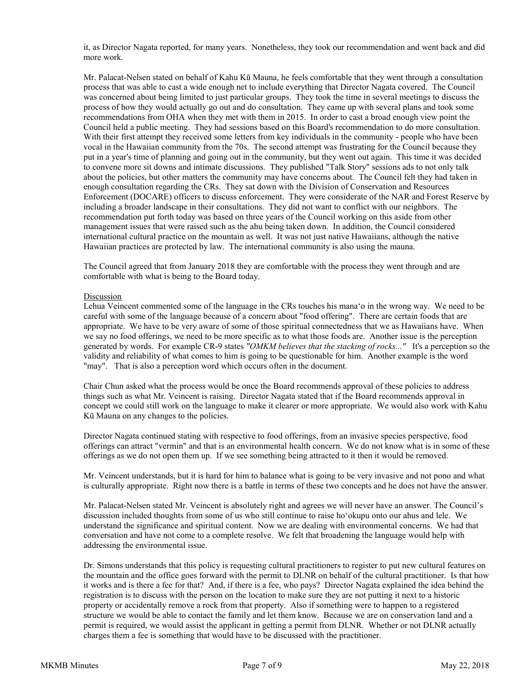it, as Director Nagata reported, for many years. Nonetheless, they took our recommendation and went back and did more work.

Mr. Palacat-Nelsen stated on behalf of Kahu Kū Mauna, he feels comfortable that they went through a consultation process that was able to cast a wide enough net to include everything that Director Nagata covered. The Council was concerned about being limited to just particular groups. They took the time in several meetings to discuss the process of how they would actually go out and do consultation. They came up with several plans and took some recommendations from OHA when they met with them in 2015. In order to cast a broad enough view point the Council held a public meeting. They had sessions based on this Board's recommendation to do more consultation. With their first attempt they received some letters from key individuals in the community - people who have been vocal in the Hawaiian community from the 70s. The second attempt was frustrating for the Council because they put in a year's time of planning and going out in the community, but they went out again. This time it was decided to convene more sit downs and intimate discussions. They published "Talk Story" sessions ads to not only talk about the policies, but other matters the community may have concerns about. The Council felt they had taken in enough consultation regarding the CRs. They sat down with the Division of Conservation and Resources Enforcement (DOCARE) officers to discuss enforcement. They were considerate of the NAR and Forest Reserve by including a broader landscape in their consultations. They did not want to conflict with our neighbors. The recommendation put forth today was based on three years of the Council working on this aside from other management issues that were raised such as the ahu being taken down. In addition, the Council considered international cultural practice on the mountain as well. It was not just native Hawaiians, although the native Hawaiian practices are protected by law. The international community is also using the mauna.

The Council agreed that from January 2018 they are comfortable with the process they went through and are comfortable with what is being to the Board today.

#### Discussion

Lehua Veincent commented some of the language in the CRs touches his manaʻo in the wrong way. We need to be careful with some of the language because of a concern about "food offering". There are certain foods that are appropriate. We have to be very aware of some of those spiritual connectedness that we as Hawaiians have. When we say no food offerings, we need to be more specific as to what those foods are. Another issue is the perception generated by words. For example CR-9 states *"OMKM believes that the stacking of rocks..."* It's a perception so the validity and reliability of what comes to him is going to be questionable for him. Another example is the word "may". That is also a perception word which occurs often in the document.

Chair Chun asked what the process would be once the Board recommends approval of these policies to address things such as what Mr. Veincent is raising. Director Nagata stated that if the Board recommends approval in concept we could still work on the language to make it clearer or more appropriate. We would also work with Kahu Kū Mauna on any changes to the policies.

Director Nagata continued stating with respective to food offerings, from an invasive species perspective, food offerings can attract "vermin" and that is an environmental health concern. We do not know what is in some of these offerings as we do not open them up. If we see something being attracted to it then it would be removed.

Mr. Veincent understands, but it is hard for him to balance what is going to be very invasive and not pono and what is culturally appropriate. Right now there is a battle in terms of these two concepts and he does not have the answer.

Mr. Palacat-Nelsen stated Mr. Veincent is absolutely right and agrees we will never have an answer. The Council's discussion included thoughts from some of us who still continue to raise hoʻokupu onto our ahus and lele. We understand the significance and spiritual content. Now we are dealing with environmental concerns. We had that conversation and have not come to a complete resolve. We felt that broadening the language would help with addressing the environmental issue.

Dr. Simons understands that this policy is requesting cultural practitioners to register to put new cultural features on the mountain and the office goes forward with the permit to DLNR on behalf of the cultural practitioner. Is that how it works and is there a fee for that? And, if there is a fee, who pays? Director Nagata explained the idea behind the registration is to discuss with the person on the location to make sure they are not putting it next to a historic property or accidentally remove a rock from that property. Also if something were to happen to a registered structure we would be able to contact the family and let them know. Because we are on conservation land and a permit is required, we would assist the applicant in getting a permit from DLNR. Whether or not DLNR actually charges them a fee is something that would have to be discussed with the practitioner.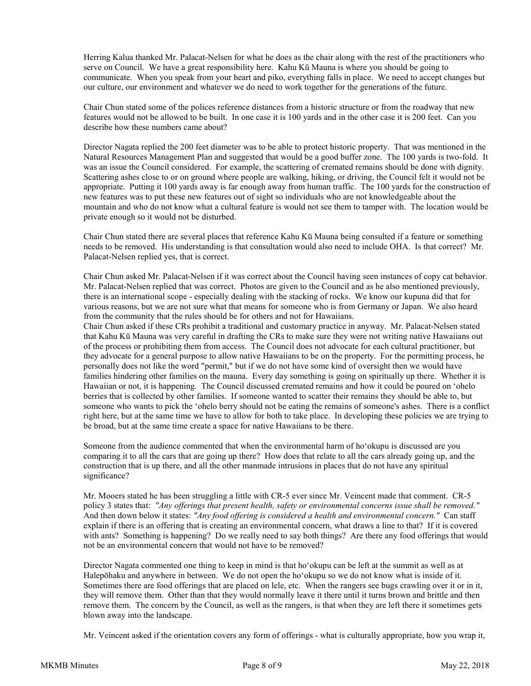Herring Kalua thanked Mr. Palacat-Nelsen for what he does as the chair along with the rest of the practitioners who serve on Council. We have a great responsibility here. Kahu Kū Mauna is where you should be going to communicate. When you speak from your heart and piko, everything falls in place. We need to accept changes but our culture, our environment and whatever we do need to work together for the generations of the future.

Chair Chun stated some of the polices reference distances from a historic structure or from the roadway that new features would not be allowed to be built. In one case it is 100 yards and in the other case it is 200 feet. Can you describe how these numbers came about?

Director Nagata replied the 200 feet diameter was to be able to protect historic property. That was mentioned in the Natural Resources Management Plan and suggested that would be a good buffer zone. The 100 yards is two-fold. It was an issue the Council considered. For example, the scattering of cremated remains should be done with dignity. Scattering ashes close to or on ground where people are walking, hiking, or driving, the Council felt it would not be appropriate. Putting it 100 yards away is far enough away from human traffic. The 100 yards for the construction of new features was to put these new features out of sight so individuals who are not knowledgeable about the mountain and who do not know what a cultural feature is would not see them to tamper with. The location would be private enough so it would not be disturbed.

Chair Chun stated there are several places that reference Kahu Kū Mauna being consulted if a feature or something needs to be removed. His understanding is that consultation would also need to include OHA. Is that correct? Mr. Palacat-Nelsen replied yes, that is correct.

Chair Chun asked Mr. Palacat-Nelsen if it was correct about the Council having seen instances of copy cat behavior. Mr. Palacat-Nelsen replied that was correct. Photos are given to the Council and as he also mentioned previously, there is an international scope - especially dealing with the stacking of rocks. We know our kupuna did that for various reasons, but we are not sure what that means for someone who is from Germany or Japan. We also heard from the community that the rules should be for others and not for Hawaiians.

Chair Chun asked if these CRs prohibit a traditional and customary practice in anyway. Mr. Palacat-Nelsen stated that Kahu Kū Mauna was very careful in drafting the CRs to make sure they were not writing native Hawaiians out of the process or prohibiting them from access. The Council does not advocate for each cultural practitioner, but they advocate for a general purpose to allow native Hawaiians to be on the property. For the permitting process, he personally does not like the word "permit," but if we do not have some kind of oversight then we would have families hindering other families on the mauna. Every day something is going on spiritually up there. Whether it is Hawaiian or not, it is happening. The Council discussed cremated remains and how it could be poured on ʻohelo berries that is collected by other families. If someone wanted to scatter their remains they should be able to, but someone who wants to pick the ʻohelo berry should not be eating the remains of someone's ashes. There is a conflict right here, but at the same time we have to allow for both to take place. In developing these policies we are trying to be broad, but at the same time create a space for native Hawaiians to be there.

Someone from the audience commented that when the environmental harm of hoʻokupu is discussed are you comparing it to all the cars that are going up there? How does that relate to all the cars already going up, and the construction that is up there, and all the other manmade intrusions in places that do not have any spiritual significance?

Mr. Mooers stated he has been struggling a little with CR-5 ever since Mr. Veincent made that comment. CR-5 policy 3 states that: *"Any offerings that present health, safety or environmental concerns issue shall be removed."* And then down below it states: *"Any food offering is considered a health and environmental concern."* Can staff explain if there is an offering that is creating an environmental concern, what draws a line to that? If it is covered with ants? Something is happening? Do we really need to say both things? Are there any food offerings that would not be an environmental concern that would not have to be removed?

Director Nagata commented one thing to keep in mind is that hoʻokupu can be left at the summit as well as at Halepōhaku and anywhere in between. We do not open the hoʻokupu so we do not know what is inside of it. Sometimes there are food offerings that are placed on lele, etc. When the rangers see bugs crawling over it or in it, they will remove them. Other than that they would normally leave it there until it turns brown and brittle and then remove them. The concern by the Council, as well as the rangers, is that when they are left there it sometimes gets blown away into the landscape.

Mr. Veincent asked if the orientation covers any form of offerings - what is culturally appropriate, how you wrap it,